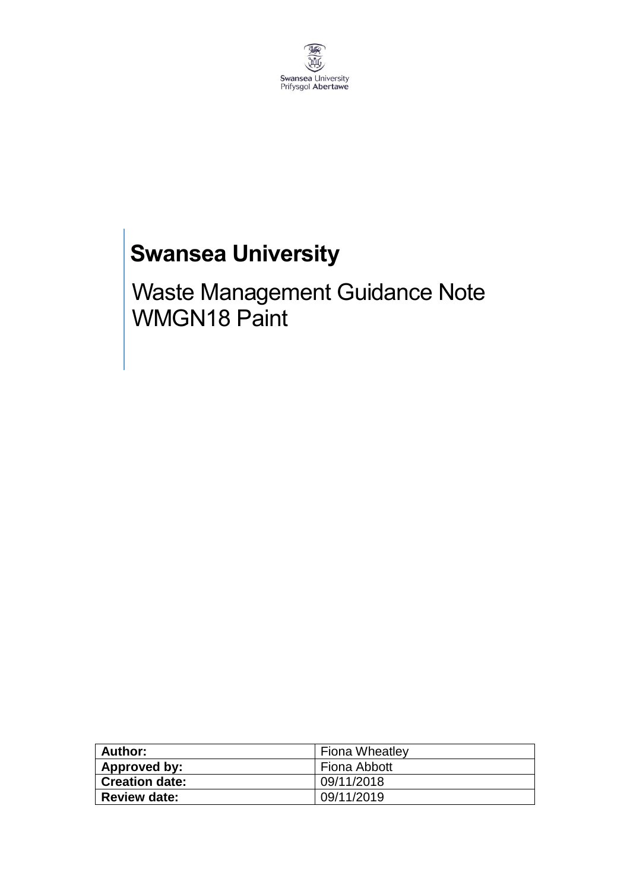

## **Swansea University**

Waste Management Guidance Note WMGN18 Paint

| Author:               | <b>Fiona Wheatley</b> |
|-----------------------|-----------------------|
| Approved by:          | Fiona Abbott          |
| <b>Creation date:</b> | 09/11/2018            |
| <b>Review date:</b>   | 09/11/2019            |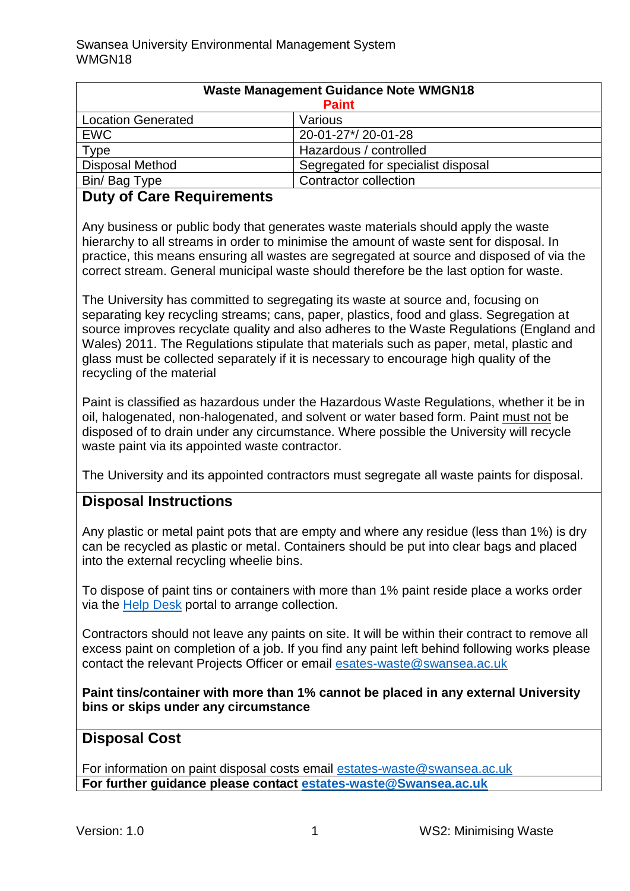| <b>Waste Management Guidance Note WMGN18</b> |                                    |
|----------------------------------------------|------------------------------------|
| <b>Paint</b>                                 |                                    |
| <b>Location Generated</b>                    | Various                            |
| <b>EWC</b>                                   | 20-01-27*/20-01-28                 |
| Type                                         | Hazardous / controlled             |
| <b>Disposal Method</b>                       | Segregated for specialist disposal |
| Bin/Bag Type                                 | <b>Contractor collection</b>       |

## **Duty of Care Requirements**

Any business or public body that generates waste materials should apply the waste hierarchy to all streams in order to minimise the amount of waste sent for disposal. In practice, this means ensuring all wastes are segregated at source and disposed of via the correct stream. General municipal waste should therefore be the last option for waste.

The University has committed to segregating its waste at source and, focusing on separating key recycling streams; cans, paper, plastics, food and glass. Segregation at source improves recyclate quality and also adheres to the Waste Regulations (England and Wales) 2011. The Regulations stipulate that materials such as paper, metal, plastic and glass must be collected separately if it is necessary to encourage high quality of the recycling of the material

Paint is classified as hazardous under the Hazardous Waste Regulations, whether it be in oil, halogenated, non-halogenated, and solvent or water based form. Paint must not be disposed of to drain under any circumstance. Where possible the University will recycle waste paint via its appointed waste contractor.

The University and its appointed contractors must segregate all waste paints for disposal.

## **Disposal Instructions**

Any plastic or metal paint pots that are empty and where any residue (less than 1%) is dry can be recycled as plastic or metal. Containers should be put into clear bags and placed into the external recycling wheelie bins.

To dispose of paint tins or containers with more than 1% paint reside place a works order via the [Help Desk](https://quemis.swan.ac.uk/Q2_Live/login) portal to arrange collection.

Contractors should not leave any paints on site. It will be within their contract to remove all excess paint on completion of a job. If you find any paint left behind following works please contact the relevant Projects Officer or email [esates-waste@swansea.ac.uk](mailto:esates-waste@swansea.ac.uk)

**Paint tins/container with more than 1% cannot be placed in any external University bins or skips under any circumstance** 

## **Disposal Cost**

For information on paint disposal costs email [estates-waste@swansea.ac.uk](mailto:estates-waste@swansea.ac.uk) **For further guidance please contact [estates-waste@Swansea.ac.uk](mailto:estates-waste@Swansea.ac.uk)**